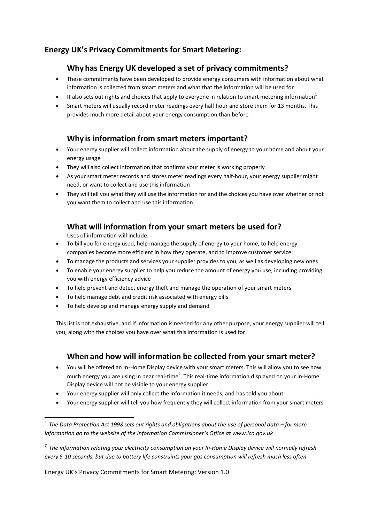## **Energy UK's Privacy Commitments for Smart Metering:**

## **Why has Energy UK developed a set of privacy commitments?**

- These commitments have been developed to provide energy consumers with information about what information is collected from smart meters and what that the information will be used for
- It also sets out rights and choices that apply to everyone in relation to smart metering information<sup>1</sup>
- Smart meters will usually record meter readings every half hour and store them for 13 months. This provides much more detail about your energy consumption than before

## **Why is information from smart meters important?**

- Your energy supplier will collect information about the supply of energy to your home and about your energy usage
- They will also collect information that confirms your meter is working properly
- As your smart meter records and stores meter readings every half-hour, your energy supplier might need, or want to collect and use this information
- They will tell you what they will use the information for and the choices you have over whether or not you want them to collect and use this information

### **What will information from your smart meters be used for?**

Uses of information will include:

- To bill you for energy used, help manage the supply of energy to your home, to help energy companies become more efficient in how they operate, and to improve customer service
- To manage the products and services your supplier provides to you, as well as developing new ones
- To enable your energy supplier to help you reduce the amount of energy you use, including providing you with energy efficiency advice
- To help prevent and detect energy theft and manage the operation of your smart meters
- To help manage debt and credit risk associated with energy bills
- To help develop and manage energy supply and demand

This list is not exhaustive, and if information is needed for any other purpose, your energy supplier will tell you, along with the choices you have over what this information is used for

## **When and how will information be collected from your smart meter?**

- You will be offered an In-Home Display device with your smart meters. This will allow you to see how much energy you are using in near real-time<sup>2</sup>. This real-time information displayed on your In-Home Display device will not be visible to your energy supplier
- Your energy supplier will only collect the information it needs, and has told you about
- Your energy supplier will tell you how frequently they will collect information from your smart meters

*2 The information relating your electricity consumption on your In-Home Display device will normally refresh every 5-10 seconds, but due to battery life constraints your gas consumption will refresh much less often*

Energy UK's Privacy Commitments for Smart Metering: Version 1.0

*<sup>1</sup> The Data Protection Act 1998 sets out rights and obligations about the use of personal data – for more information go to the website of the Information Commissioner's Office a[t www.ico.gov.uk](http://www.ico.gov.uk/)*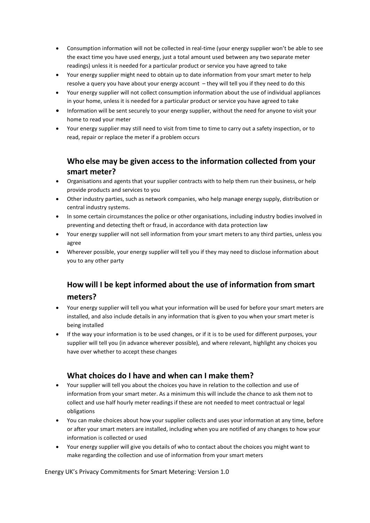- Consumption information will not be collected in real-time (your energy supplier won't be able to see the exact time you have used energy, just a total amount used between any two separate meter readings) unless it is needed for a particular product or service you have agreed to take
- Your energy supplier might need to obtain up to date information from your smart meter to help resolve a query you have about your energy account – they will tell you if they need to do this
- Your energy supplier will not collect consumption information about the use of individual appliances in your home, unless it is needed for a particular product or service you have agreed to take
- Information will be sent securely to your energy supplier, without the need for anyone to visit your home to read your meter
- Your energy supplier may still need to visit from time to time to carry out a safety inspection, or to read, repair or replace the meter if a problem occurs

## **Who else may be given access to the information collected from your smart meter?**

- Organisations and agents that your supplier contracts with to help them run their business, or help provide products and services to you
- Other industry parties, such as network companies, who help manage energy supply, distribution or central industry systems.
- In some certain circumstances the police or other organisations, including industry bodies involved in preventing and detecting theft or fraud, in accordance with data protection law
- Your energy supplier will not sell information from your smart meters to any third parties, unless you agree
- Wherever possible, your energy supplier will tell you if they may need to disclose information about you to any other party

# **How will I be kept informed about the use of information from smart meters?**

- Your energy supplier will tell you what your information will be used for before your smart meters are installed, and also include details in any information that is given to you when your smart meter is being installed
- If the way your information is to be used changes, or if it is to be used for different purposes, your supplier will tell you (in advance wherever possible), and where relevant, highlight any choices you have over whether to accept these changes

## **What choices do I have and when can I make them?**

- Your supplier will tell you about the choices you have in relation to the collection and use of information from your smart meter. As a minimum this will include the chance to ask them not to collect and use half hourly meter readings if these are not needed to meet contractual or legal obligations
- You can make choices about how your supplier collects and uses your information at any time, before or after your smart meters are installed, including when you are notified of any changes to how your information is collected or used
- Your energy supplier will give you details of who to contact about the choices you might want to make regarding the collection and use of information from your smart meters

Energy UK's Privacy Commitments for Smart Metering: Version 1.0